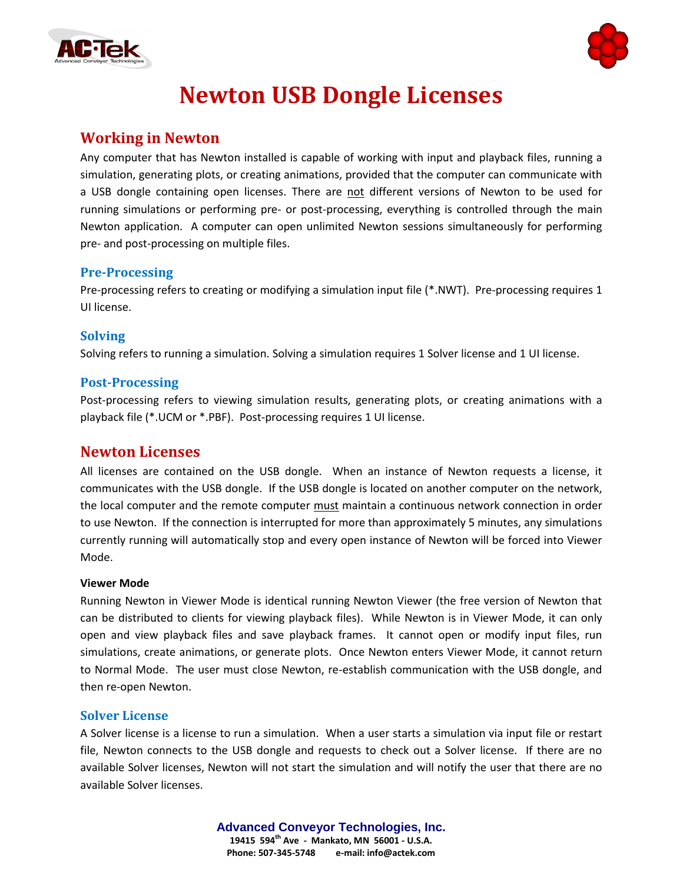



# **Newton USB Dongle Licenses**

# **Working in Newton**

Any computer that has Newton installed is capable of working with input and playback files, running a simulation, generating plots, or creating animations, provided that the computer can communicate with a USB dongle containing open licenses. There are not different versions of Newton to be used for running simulations or performing pre- or post-processing, everything is controlled through the main Newton application. A computer can open unlimited Newton sessions simultaneously for performing pre- and post-processing on multiple files.

## **Pre-Processing**

Pre-processing refers to creating or modifying a simulation input file (\*.NWT). Pre-processing requires 1 UI license.

# **Solving**

Solving refers to running a simulation. Solving a simulation requires 1 Solver license and 1 UI license.

## **Post-Processing**

Post-processing refers to viewing simulation results, generating plots, or creating animations with a playback file (\*.UCM or \*.PBF). Post-processing requires 1 UI license.

# **Newton Licenses**

All licenses are contained on the USB dongle. When an instance of Newton requests a license, it communicates with the USB dongle. If the USB dongle is located on another computer on the network, the local computer and the remote computer must maintain a continuous network connection in order to use Newton. If the connection is interrupted for more than approximately 5 minutes, any simulations currently running will automatically stop and every open instance of Newton will be forced into Viewer Mode.

#### **Viewer Mode**

Running Newton in Viewer Mode is identical running Newton Viewer (the free version of Newton that can be distributed to clients for viewing playback files). While Newton is in Viewer Mode, it can only open and view playback files and save playback frames. It cannot open or modify input files, run simulations, create animations, or generate plots. Once Newton enters Viewer Mode, it cannot return to Normal Mode. The user must close Newton, re-establish communication with the USB dongle, and then re-open Newton.

## **Solver License**

A Solver license is a license to run a simulation. When a user starts a simulation via input file or restart file, Newton connects to the USB dongle and requests to check out a Solver license. If there are no available Solver licenses, Newton will not start the simulation and will notify the user that there are no available Solver licenses.